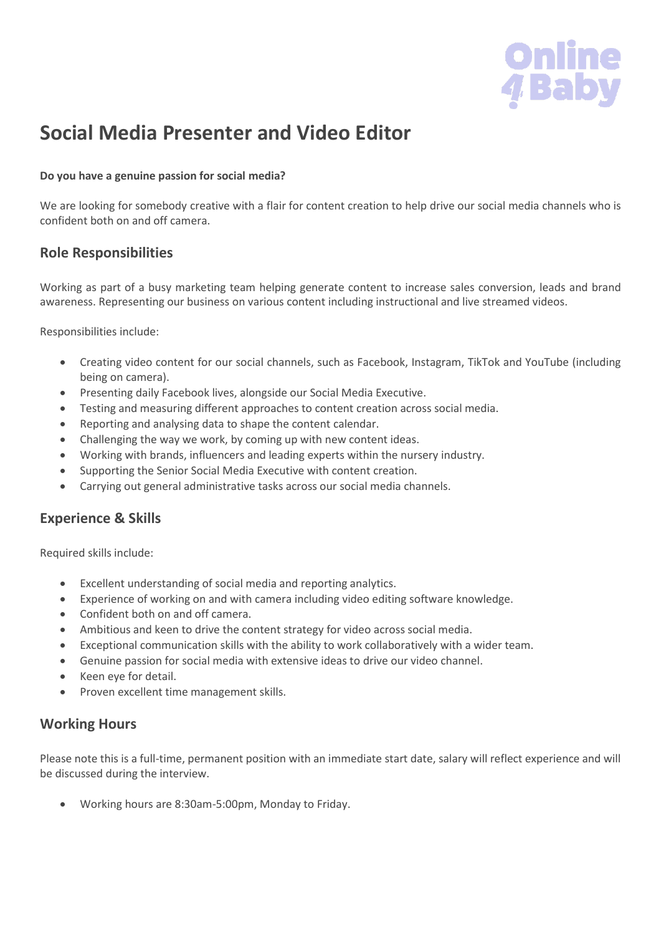

# **Social Media Presenter and Video Editor**

#### **Do you have a genuine passion for social media?**

We are looking for somebody creative with a flair for content creation to help drive our social media channels who is confident both on and off camera.

## **Role Responsibilities**

Working as part of a busy marketing team helping generate content to increase sales conversion, leads and brand awareness. Representing our business on various content including instructional and live streamed videos.

Responsibilities include:

- Creating video content for our social channels, such as Facebook, Instagram, TikTok and YouTube (including being on camera).
- Presenting daily Facebook lives, alongside our Social Media Executive.
- Testing and measuring different approaches to content creation across social media.
- Reporting and analysing data to shape the content calendar.
- Challenging the way we work, by coming up with new content ideas.
- Working with brands, influencers and leading experts within the nursery industry.
- Supporting the Senior Social Media Executive with content creation.
- Carrying out general administrative tasks across our social media channels.

### **Experience & Skills**

Required skills include:

- Excellent understanding of social media and reporting analytics.
- Experience of working on and with camera including video editing software knowledge.
- Confident both on and off camera.
- Ambitious and keen to drive the content strategy for video across social media.
- Exceptional communication skills with the ability to work collaboratively with a wider team.
- Genuine passion for social media with extensive ideas to drive our video channel.
- Keen eye for detail.
- Proven excellent time management skills.

### **Working Hours**

Please note this is a full-time, permanent position with an immediate start date, salary will reflect experience and will be discussed during the interview.

• Working hours are 8:30am-5:00pm, Monday to Friday.